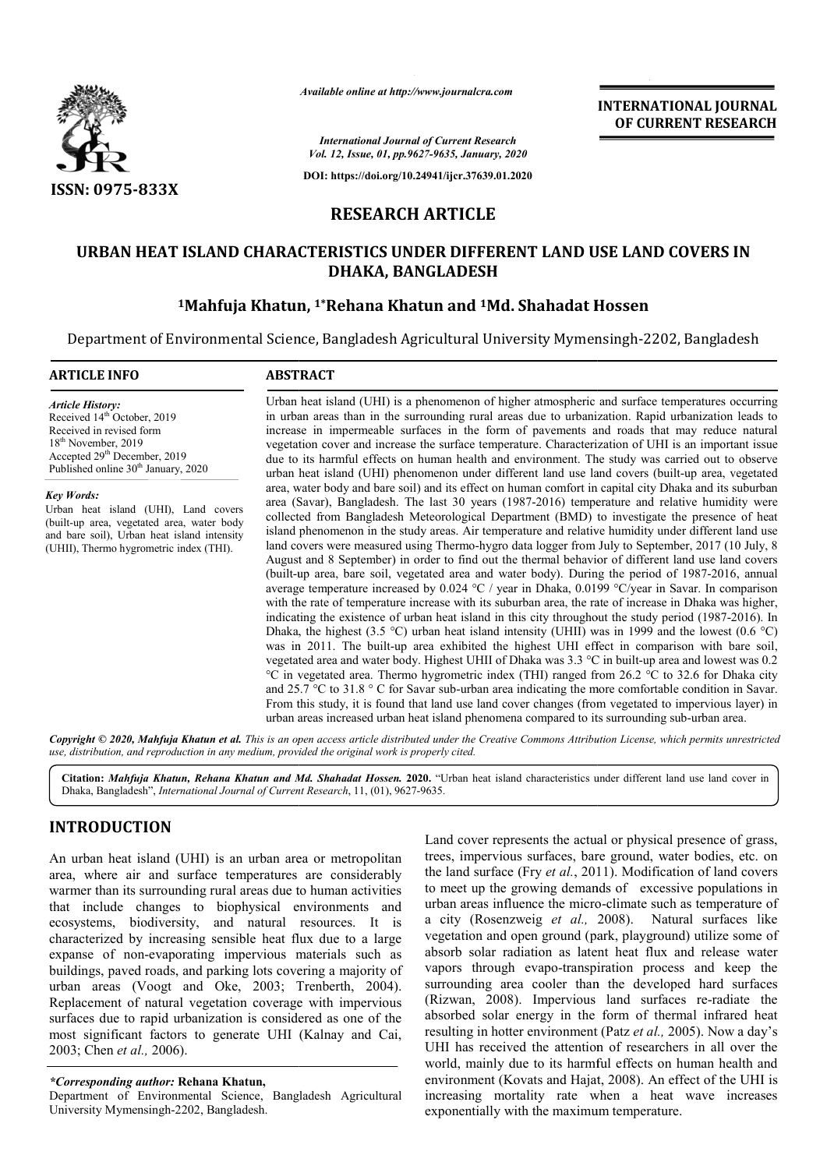

*Available online at http://www.journalcra.com*

**INTERNATIONAL JOURNAL OF CURRENT RESEARCH**

*International Journal of Current Research Vol. 12, Issue, 01, pp.9627-9635, January, 2020*

**DOI: https://doi.org/10.24941/ijcr.37639.01.2020**

# **RESEARCH ARTICLE**

# **URBAN HEAT ISLAND CHARACTERISTICS UNDER DIFFERENT LAND USE LAND COVER URBAN HEAT COVERS IN DHAKA, BANGLADESH**

# <sup>1</sup>Mahfuja Khatun, <sup>1</sup>\*Rehana Khatun and <sup>1</sup>Md. Shahadat Hossen

Department of Environmental Science, Bangladesh Agricultural University Mymensingh Mymensingh-2202, Bangladesh

# **ARTICLE INFO ABSTRACT** Urban heat island (UHI) is a phenomenon of higher atmospheric and surface temperatures occurring in urban areas than in the surrounding rural areas due to urbanization. Rapid urbanization leads to increase in impermeable surfaces in the form of pavements and roads that may reduce natural vegetation cover and increase the surface temperature. Characterization of UHI is an important issue due to its harmful effects on human health and environment. The study was carried out to observe urban heat island (UHI) phenomenon under different land use land covers (built area, w water body and bare soil) and its effect on human comfort in capital city Dhaka and its suburban area (Savar), Bangladesh. The last 30 years (1987 (1987-2016) temperature and relative humidity were collected from Bangladesh Meteorological Department (BMD) to investigate the presence of heat island phenomenon in the study areas. Air temperature and relative humidity under different land use land covers were measured using Thermo-hygro data logger from July to September, 2017 (10 July, 8 August and 8 September) in order to find out the thermal behavior of different land use land covers (built-up area, bare soil, vegetated area and water body). During the period of 1987 average temperature increased by  $0.024 \text{ °C}$  / year in Dhaka,  $0.0199 \text{ °C/year}$  in Savar. In comparison with the rate of temperature increase with its suburban area, the rate of increase in Dhaka was higher, indicating the existence of urban heat island in this city throughout the study period (1987 Dhaka, the highest (3.5 °C) urban heat island intensity (UHII) was in 1999 and the lowest (0.6 °C) was in 2011. The built-up area exhibited the highest UHI effect in comparison with bare soil, vegetated area and water body. Highest UHII of Dhaka was 3.3 °C in built-up area and lowest was 0.2 °C in vegetated area. Thermo hygrometric index (THI) ranged from 26.2 °C to 32.6 for Dhaka city and 25.7 °C to 31.8 ° C for Savar sub-urban area indicating the more comfortable condition in Savar. *Article History:* Received  $14<sup>th</sup>$  October, 2019 Received in revised form 18th November, 2019 Accepted 29<sup>th</sup> December, 2019 Published online 30<sup>th</sup> January, 2020 *Key Words:* Urban heat island (UHI), Land covers (built-up area, vegetated area, water body and bare soil), Urban heat island intensity (UHII), Thermo hygrometric index (THI). up area, bare soil, vegetated area and water body). During t<br>ge temperature increased by  $0.024 \text{ °C}$  / year in Dhaka,  $0.0199$ <br>he rate of temperature increase with its suburban area, the rate<br>ting the existence of urban in urban areas than in the surrounding rural areas due to urbanization. Rapid urbanization leads to increase in impermeable surfaces in the form of pavements and roads that may reduce natural vegetation cover and increase area, water body and bare soil) and its effect on human comfort in capital city Dhaka and its suburban<br>area (Savar), Bangladesh. The last 30 years (1987-2016) temperature and relative humidity were<br>collected from Banglades island phenomenon in the study areas. Air temperature and relative humidity under different land use<br>land covers were measured using Thermo-hygro data logger from July to September, 2017 (10 July, 8<br>August and 8 September) with the rate of temperature increase with its suburban area, the rate of increase in Dhaka was higher, indicating the existence of urban heat island in this city throughout the study period (1987-2016). In °C in vegetated area. Thermo hygrometric index (THI) ranged from 26.2 °C to 32.6 for Dhaka ci and 25.7 °C to 31.8 °C for Savar sub-urban area indicating the more comfortable condition in Savar From this study, it is found **EXERVATIONAL JOURNAL**<br> **OF CURRENT RESEARCH**<br> **OF CURRENT RESEARCH**<br> **OF CURRENT RESEARCH**<br> **CELE**<br> **CELE**<br> **CELE**<br> **CELE**<br> **CELE**<br> **CELE**<br> **CELE**<br> **CELE**<br> **CELE**<br> **CELE**<br> **CELE**<br> **CELE**<br> **CELE**<br> **CELE**<br> **CELE**<br> **CELE**<br>

Copyright © 2020, Mahfuja Khatun et al. This is an open access article distributed under the Creative Commons Attribution License, which permits unrestrictea *use, distribution, and reproduction in any medium, provided the original work is properly cited.*

From this study, it is found that land use land cover changes (from vegetated to impervious layer) in urban areas increased urban heat island phenomena compared to its surrounding sub

Citation: Mahfuja Khatun, Rehana Khatun and Md. Shahadat Hossen. 2020. "Urban heat island characteristics under different land use land cover in Dhaka, Bangladesh", *International Journal of Current Research*, 11, (01), 9627-9635.

# **INTRODUCTION**

An urban heat island (UHI) is an urban area or metropolitan area, where air and surface temperatures are considerably warmer than its surrounding rural areas due to human activities that include changes to biophysical environments and ecosystems, biodiversity, and natural resources. It is characterized by increasing sensible heat flux due to a large expanse of non-evaporating impervious materials such as buildings, paved roads, and parking lots covering a majority of ecosystems, biodiversity, and natural resources. It is characterized by increasing sensible heat flux due to a large expanse of non-evaporating impervious materials such as buildings, paved roads, and parking lots covering Replacement of natural vegetation coverage with impervious surfaces due to rapid urbanization is considered as one of the most significant factors to generate UHI (Kalnay and Cai, 2003; Chen *et al.,* 2006).

*\*Corresponding author:* **Rehana Khatun,**

Department of Environmental Science, Bangladesh Agricultural University Mymensingh-2202, Bangladesh.

Land cover represents the actual or physical presence of grass, trees, impervious surfaces, bare ground, water bodies, etc. on the land surface (Fry *et al.*, 2011). Modification of land covers to meet up the growing demands of excessive populations in urban areas influence the micro-climate such as temperature of a city (Rosenzweig *et al.,* 2008). Natural surfaces like vegetation and open ground (park, playground) utilize some of absorb solar radiation as latent heat flux and release water vapors through evapo-transpiration process and keep the surrounding area cooler than the developed hard surfaces (Rizwan, 2008). Impervious land surfaces re-radiate the absorbed solar energy in the form of thermal infrared heat absorbed solar energy in the form of thermal infrared heat resulting in hotter environment (Patz *et al.*, 2005). Now a day's UHI has received the attention of researchers in all over the world, mainly due to its harmful effects on human health and environment (Kovats and Hajat, 2008). An effect of the UHI is increasing mortality rate when a heat wave increases exponentially with the maximum temperature. cover represents the actual or physical presence of grass, impervious surfaces, bare ground, water bodies, etc. on d surface (Fry *et al.*, 2011). Modification of land covers tet up the growing demands of excessive populat ar radiation as latent heat flux and release water<br>cough evapo-transpiration process and keep the<br>g area cooler than the developed hard surfaces<br>2008). Impervious land surfaces re-radiate the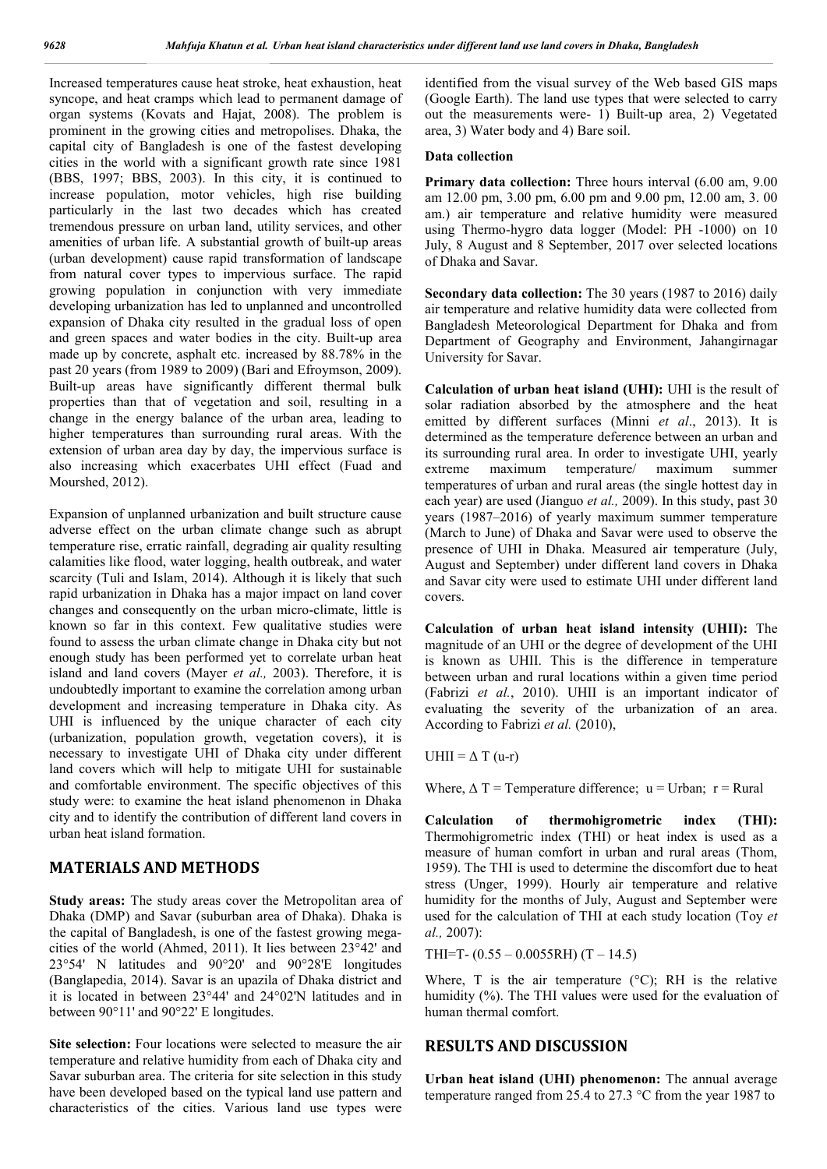Increased temperatures cause heat stroke, heat exhaustion, heat syncope, and heat cramps which lead to permanent damage of organ systems (Kovats and Hajat, 2008). The problem is prominent in the growing cities and metropolises. Dhaka, the capital city of Bangladesh is one of the fastest developing cities in the world with a significant growth rate since 1981 (BBS, 1997; BBS, 2003). In this city, it is continued to increase population, motor vehicles, high rise building particularly in the last two decades which has created tremendous pressure on urban land, utility services, and other amenities of urban life. A substantial growth of built-up areas (urban development) cause rapid transformation of landscape from natural cover types to impervious surface. The rapid growing population in conjunction with very immediate developing urbanization has led to unplanned and uncontrolled expansion of Dhaka city resulted in the gradual loss of open and green spaces and water bodies in the city. Built-up area made up by concrete, asphalt etc. increased by 88.78% in the past 20 years (from 1989 to 2009) (Bari and Efroymson, 2009). Built-up areas have significantly different thermal bulk properties than that of vegetation and soil, resulting in a change in the energy balance of the urban area, leading to higher temperatures than surrounding rural areas. With the extension of urban area day by day, the impervious surface is also increasing which exacerbates UHI effect (Fuad and Mourshed, 2012).

Expansion of unplanned urbanization and built structure cause adverse effect on the urban climate change such as abrupt temperature rise, erratic rainfall, degrading air quality resulting calamities like flood, water logging, health outbreak, and water scarcity (Tuli and Islam, 2014). Although it is likely that such rapid urbanization in Dhaka has a major impact on land cover changes and consequently on the urban micro-climate, little is known so far in this context. Few qualitative studies were found to assess the urban climate change in Dhaka city but not enough study has been performed yet to correlate urban heat island and land covers (Mayer *et al.,* 2003). Therefore, it is undoubtedly important to examine the correlation among urban development and increasing temperature in Dhaka city. As UHI is influenced by the unique character of each city (urbanization, population growth, vegetation covers), it is necessary to investigate UHI of Dhaka city under different land covers which will help to mitigate UHI for sustainable and comfortable environment. The specific objectives of this study were: to examine the heat island phenomenon in Dhaka city and to identify the contribution of different land covers in urban heat island formation.

## **MATERIALS AND METHODS**

**Study areas:** The study areas cover the Metropolitan area of Dhaka (DMP) and Savar (suburban area of Dhaka). Dhaka is the capital of Bangladesh, is one of the fastest growing megacities of the world (Ahmed, 2011). It lies between 23°42' and 23°54' N latitudes and 90°20' and 90°28'E longitudes (Banglapedia, 2014). Savar is an upazila of Dhaka district and it is located in between 23°44' and 24°02'N latitudes and in between 90°11' and 90°22' E longitudes.

**Site selection:** Four locations were selected to measure the air temperature and relative humidity from each of Dhaka city and Savar suburban area. The criteria for site selection in this study have been developed based on the typical land use pattern and characteristics of the cities. Various land use types were

identified from the visual survey of the Web based GIS maps (Google Earth). The land use types that were selected to carry out the measurements were- 1) Built-up area, 2) Vegetated area, 3) Water body and 4) Bare soil.

#### **Data collection**

**Primary data collection:** Three hours interval (6.00 am, 9.00 am 12.00 pm, 3.00 pm, 6.00 pm and 9.00 pm, 12.00 am, 3. 00 am.) air temperature and relative humidity were measured using Thermo-hygro data logger (Model: PH -1000) on 10 July, 8 August and 8 September, 2017 over selected locations of Dhaka and Savar.

**Secondary data collection:** The 30 years (1987 to 2016) daily air temperature and relative humidity data were collected from Bangladesh Meteorological Department for Dhaka and from Department of Geography and Environment, Jahangirnagar University for Savar.

**Calculation of urban heat island (UHI):** UHI is the result of solar radiation absorbed by the atmosphere and the heat emitted by different surfaces (Minni *et al*., 2013). It is determined as the temperature deference between an urban and its surrounding rural area. In order to investigate UHI, yearly extreme maximum temperature/ maximum summer temperatures of urban and rural areas (the single hottest day in each year) are used (Jianguo *et al.,* 2009). In this study, past 30 years (1987–2016) of yearly maximum summer temperature (March to June) of Dhaka and Savar were used to observe the presence of UHI in Dhaka. Measured air temperature (July, August and September) under different land covers in Dhaka and Savar city were used to estimate UHI under different land covers.

**Calculation of urban heat island intensity (UHII):** The magnitude of an UHI or the degree of development of the UHI is known as UHII. This is the difference in temperature between urban and rural locations within a given time period (Fabrizi *et al.*, 2010). UHII is an important indicator of evaluating the severity of the urbanization of an area. According to Fabrizi *et al.* (2010),

UHII =  $\Delta$  T (u-r)

Where,  $\Delta T$  = Temperature difference; u = Urban; r = Rural

**Calculation of thermohigrometric index (THI):**  Thermohigrometric index (THI) or heat index is used as a measure of human comfort in urban and rural areas (Thom, 1959). The THI is used to determine the discomfort due to heat stress (Unger, 1999). Hourly air temperature and relative humidity for the months of July, August and September were used for the calculation of THI at each study location (Toy *et al.,* 2007):

THI=T- $(0.55 - 0.0055$ RH $)$  $(T - 14.5)$ 

Where, T is the air temperature  $(^{\circ}C)$ ; RH is the relative humidity (%). The THI values were used for the evaluation of human thermal comfort.

## **RESULTS AND DISCUSSION**

**Urban heat island (UHI) phenomenon:** The annual average temperature ranged from 25.4 to 27.3 °C from the year 1987 to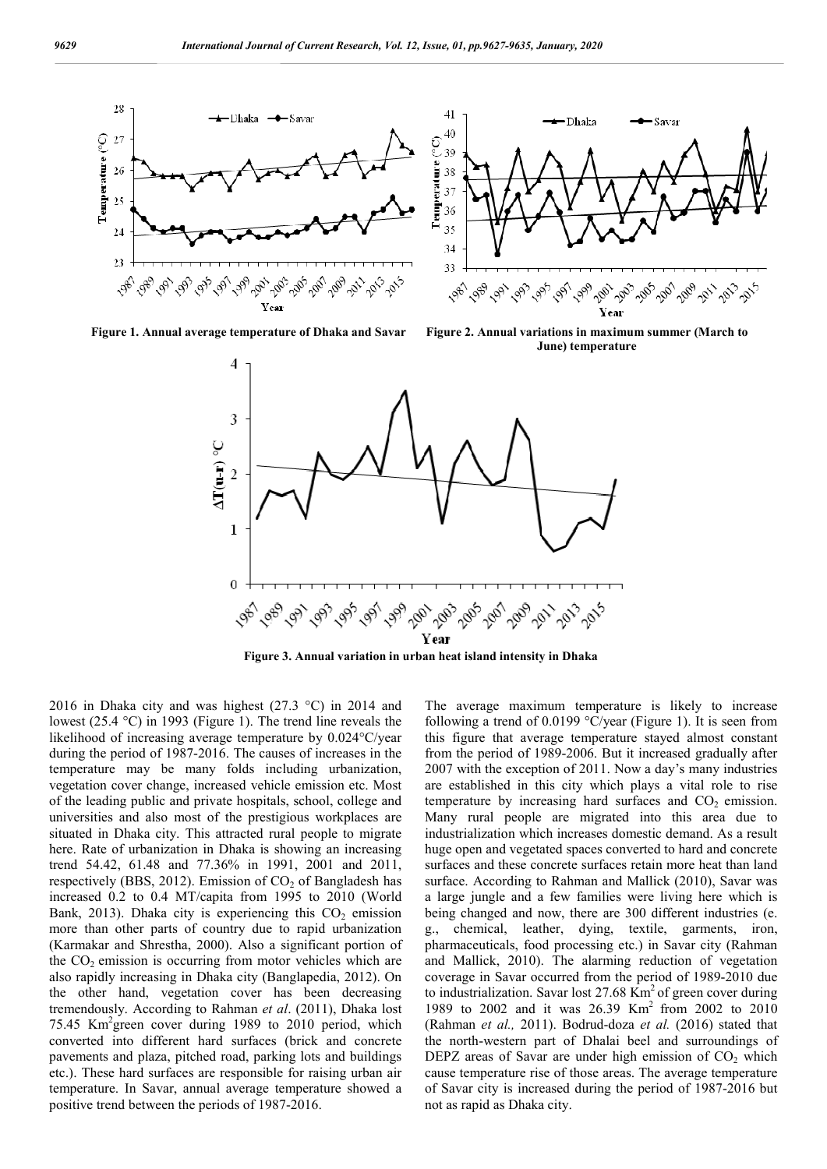



**Figure 1. Annual average temperature of Dhaka and Savar Figure 2. Annual variations in maximum summer (March to June) temperature**



**Figure 3. Annual variation in urban heat island intensity in Dhaka**

2016 in Dhaka city and was highest (27.3 °C) in 2014 and lowest (25.4 °C) in 1993 (Figure 1). The trend line reveals the likelihood of increasing average temperature by 0.024°C/year during the period of 1987-2016. The causes of increases in the temperature may be many folds including urbanization, vegetation cover change, increased vehicle emission etc. Most of the leading public and private hospitals, school, college and universities and also most of the prestigious workplaces are situated in Dhaka city. This attracted rural people to migrate here. Rate of urbanization in Dhaka is showing an increasing trend 54.42, 61.48 and 77.36% in 1991, 2001 and 2011, respectively (BBS, 2012). Emission of  $CO<sub>2</sub>$  of Bangladesh has increased 0.2 to 0.4 MT/capita from 1995 to 2010 (World Bank, 2013). Dhaka city is experiencing this  $CO<sub>2</sub>$  emission more than other parts of country due to rapid urbanization (Karmakar and Shrestha, 2000). Also a significant portion of the  $CO<sub>2</sub>$  emission is occurring from motor vehicles which are also rapidly increasing in Dhaka city (Banglapedia, 2012). On the other hand, vegetation cover has been decreasing tremendously. According to Rahman *et al*. (2011), Dhaka lost 75.45 Km2 green cover during 1989 to 2010 period, which converted into different hard surfaces (brick and concrete pavements and plaza, pitched road, parking lots and buildings etc.). These hard surfaces are responsible for raising urban air temperature. In Savar, annual average temperature showed a positive trend between the periods of 1987-2016.

The average maximum temperature is likely to increase following a trend of 0.0199 °C/year (Figure 1). It is seen from this figure that average temperature stayed almost constant from the period of 1989-2006. But it increased gradually after 2007 with the exception of 2011. Now a day's many industries are established in this city which plays a vital role to rise temperature by increasing hard surfaces and  $CO<sub>2</sub>$  emission. Many rural people are migrated into this area due to industrialization which increases domestic demand. As a result huge open and vegetated spaces converted to hard and concrete surfaces and these concrete surfaces retain more heat than land surface. According to Rahman and Mallick (2010), Savar was a large jungle and a few families were living here which is being changed and now, there are 300 different industries (e. g., chemical, leather, dying, textile, garments, iron, pharmaceuticals, food processing etc.) in Savar city (Rahman and Mallick, 2010). The alarming reduction of vegetation coverage in Savar occurred from the period of 1989-2010 due to industrialization. Savar lost  $27.68 \text{ Km}^2$  of green cover during 1989 to 2002 and it was 26.39 Km2 from 2002 to 2010 (Rahman *et al.,* 2011). Bodrud-doza *et al.* (2016) stated that the north-western part of Dhalai beel and surroundings of DEPZ areas of Savar are under high emission of  $CO<sub>2</sub>$  which cause temperature rise of those areas. The average temperature of Savar city is increased during the period of 1987-2016 but not as rapid as Dhaka city.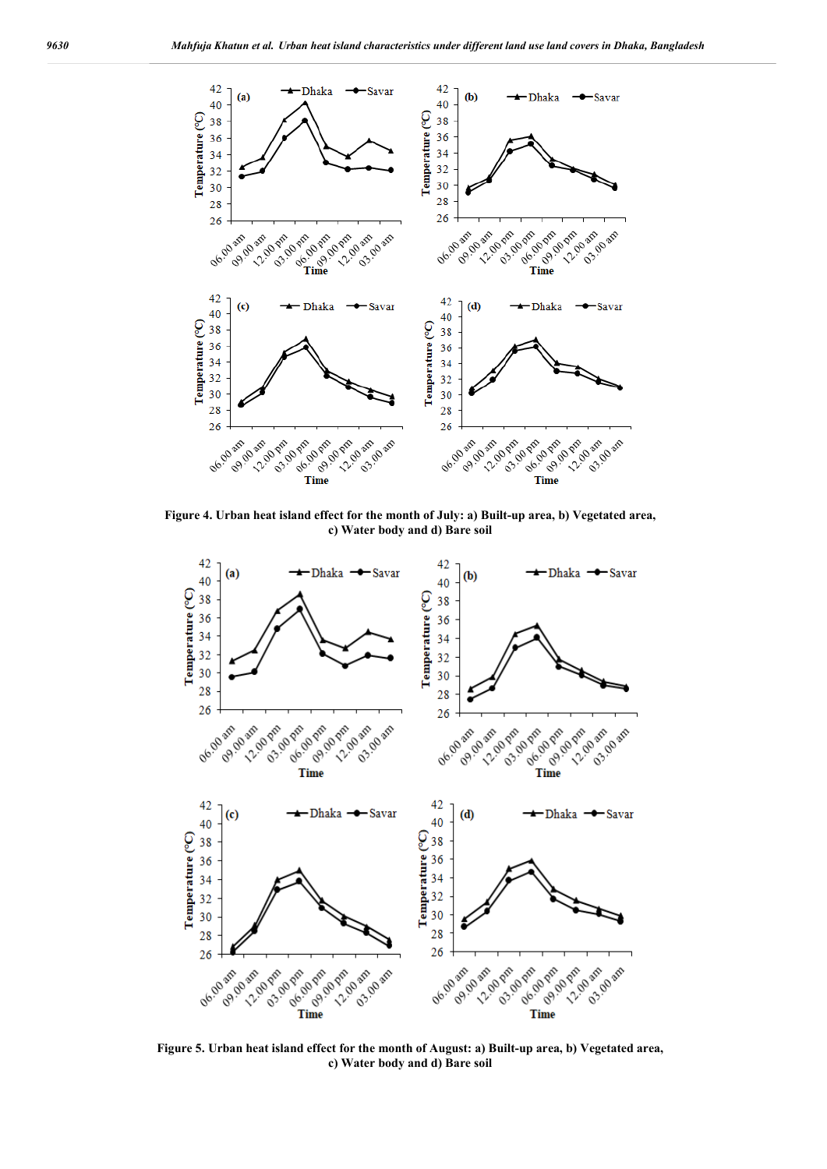

**Figure 4. Urban heat island effect for the month of July: a) Built-up area, b) Vegetated area, c) Water body and d) Bare soil**



**Figure 5. Urban heat island effect for the month of August: a) Built-up area, b) Vegetated area, c) Water body and d) Bare soil**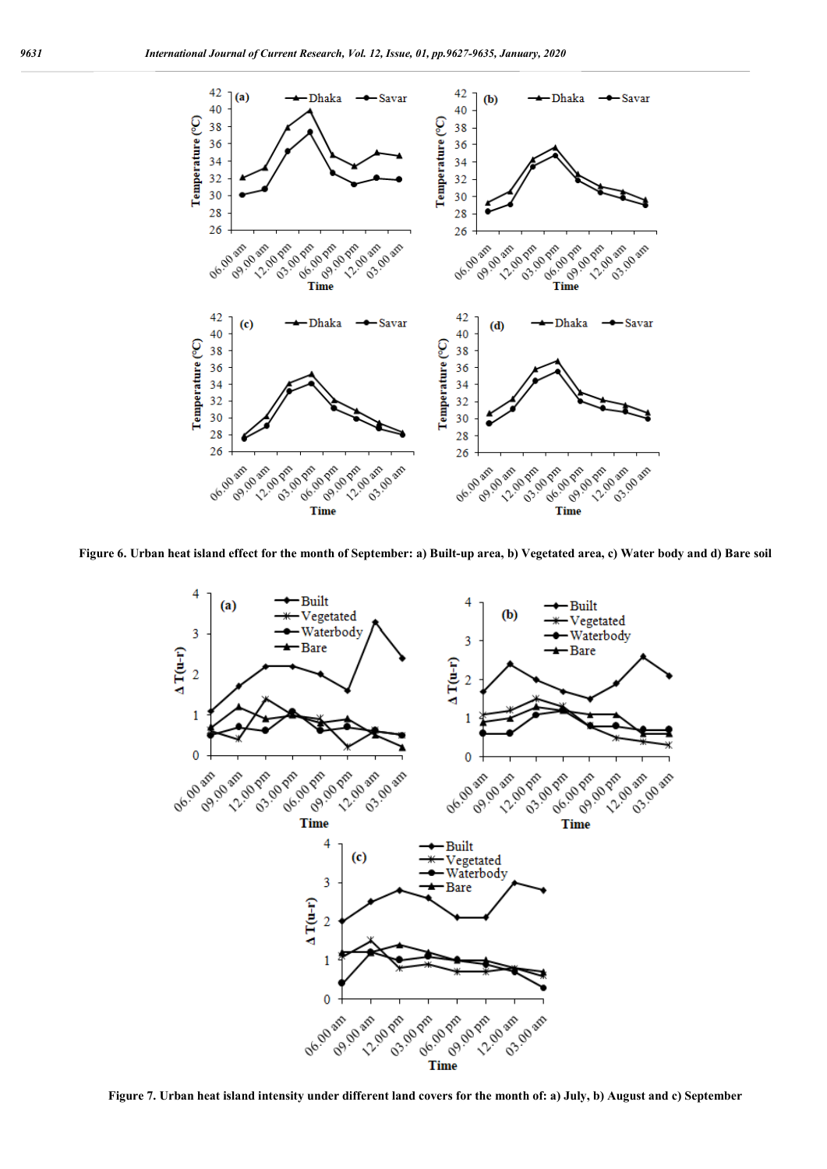

**Figure 6. Urban heat island effect for the month of September: a) Built-up area, b) Vegetated area, c) Water body and d) Bare soil**



**Figure 7. Urban heat island intensity under different land covers for the month of: a) July, b) August and c) September**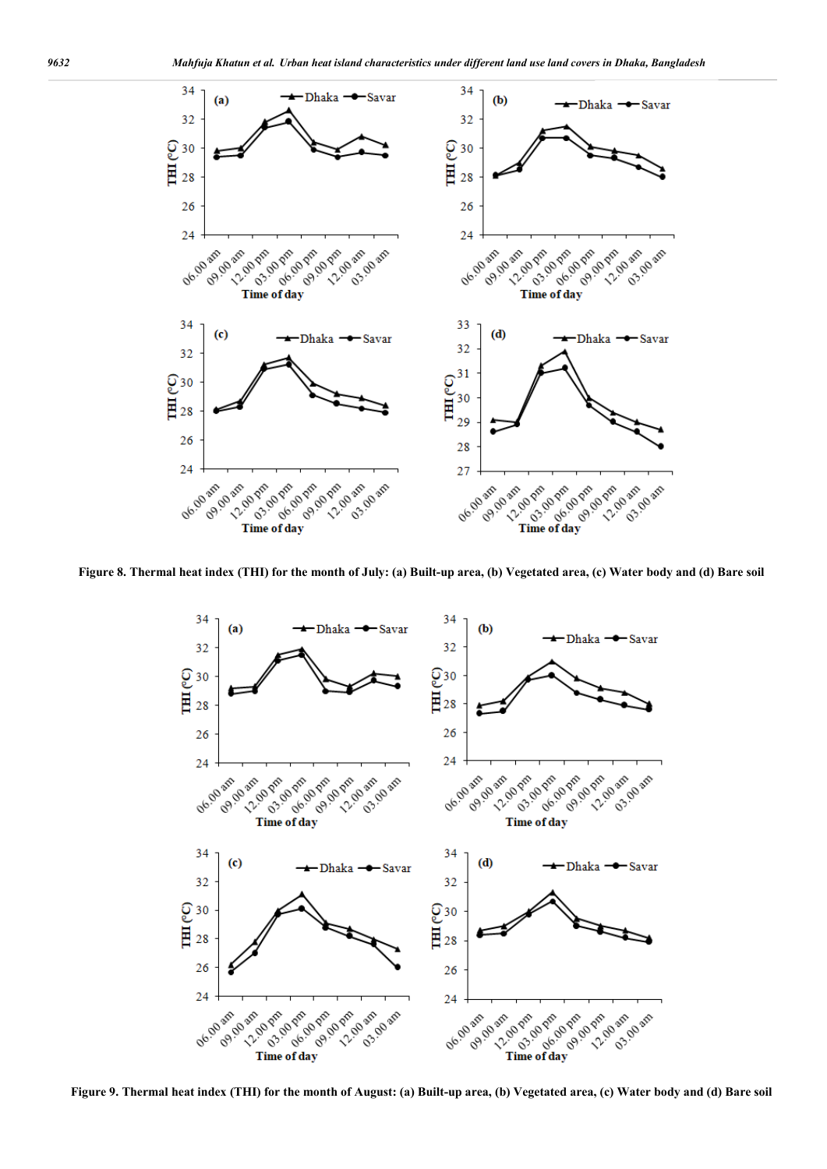

**Figure 8. Thermal heat index (THI) for the month of July: (a) Built-up area, (b) Vegetated area, (c) Water body and (d) Bare soil**



**Figure 9. Thermal heat index (THI) for the month of August: (a) Built-up area, (b) Vegetated area, (c) Water body and (d) Bare soil**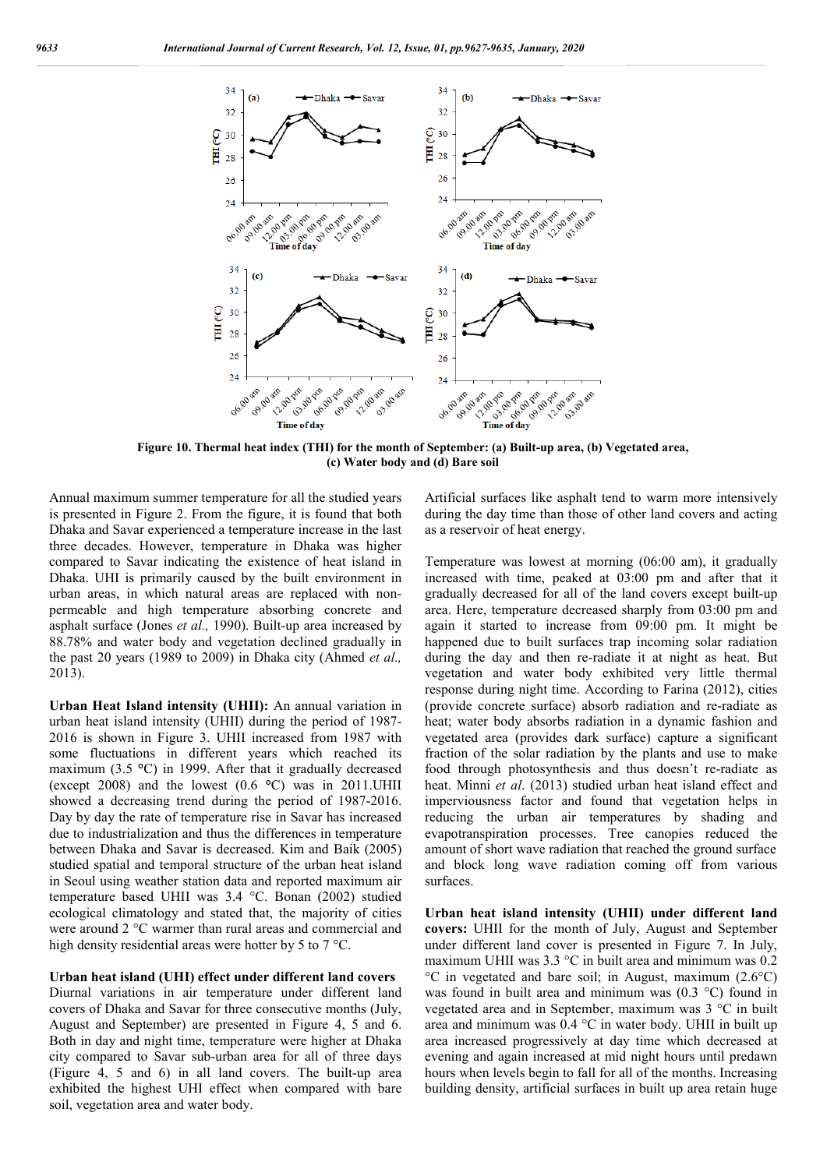

**Figure 10. Thermal heat index (THI) for the month of September: (a) Built-up area, (b) Vegetated area, (c) Water body and (d) Bare soil**

Annual maximum summer temperature for all the studied years is presented in Figure 2. From the figure, it is found that both Dhaka and Savar experienced a temperature increase in the last three decades. However, temperature in Dhaka was higher compared to Savar indicating the existence of heat island in Dhaka. UHI is primarily caused by the built environment in urban areas, in which natural areas are replaced with nonpermeable and high temperature absorbing concrete and asphalt surface (Jones *et al.,* 1990). Built-up area increased by 88.78% and water body and vegetation declined gradually in the past 20 years (1989 to 2009) in Dhaka city (Ahmed *et al.,* 2013).

**Urban Heat Island intensity (UHII):** An annual variation in urban heat island intensity (UHII) during the period of 1987- 2016 is shown in Figure 3. UHII increased from 1987 with some fluctuations in different years which reached its maximum (3.5 **°**C) in 1999. After that it gradually decreased (except 2008) and the lowest (0.6 **°**C) was in 2011.UHII showed a decreasing trend during the period of 1987-2016. Day by day the rate of temperature rise in Savar has increased due to industrialization and thus the differences in temperature between Dhaka and Savar is decreased. Kim and Baik (2005) studied spatial and temporal structure of the urban heat island in Seoul using weather station data and reported maximum air temperature based UHII was 3.4 °C. Bonan (2002) studied ecological climatology and stated that, the majority of cities were around 2 °C warmer than rural areas and commercial and high density residential areas were hotter by 5 to 7 °C.

#### **Urban heat island (UHI) effect under different land covers**

Diurnal variations in air temperature under different land covers of Dhaka and Savar for three consecutive months (July, August and September) are presented in Figure 4, 5 and 6. Both in day and night time, temperature were higher at Dhaka city compared to Savar sub-urban area for all of three days (Figure 4, 5 and 6) in all land covers. The built-up area exhibited the highest UHI effect when compared with bare soil, vegetation area and water body.

Artificial surfaces like asphalt tend to warm more intensively during the day time than those of other land covers and acting as a reservoir of heat energy.

Temperature was lowest at morning (06:00 am), it gradually increased with time, peaked at 03:00 pm and after that it gradually decreased for all of the land covers except built-up area. Here, temperature decreased sharply from 03:00 pm and again it started to increase from 09:00 pm. It might be happened due to built surfaces trap incoming solar radiation during the day and then re-radiate it at night as heat. But vegetation and water body exhibited very little thermal response during night time. According to Farina (2012), cities (provide concrete surface) absorb radiation and re-radiate as heat; water body absorbs radiation in a dynamic fashion and vegetated area (provides dark surface) capture a significant fraction of the solar radiation by the plants and use to make food through photosynthesis and thus doesn't re-radiate as heat. Minni *et al*. (2013) studied urban heat island effect and imperviousness factor and found that vegetation helps in reducing the urban air temperatures by shading and evapotranspiration processes. Tree canopies reduced the amount of short wave radiation that reached the ground surface and block long wave radiation coming off from various surfaces.

**Urban heat island intensity (UHII) under different land covers:** UHII for the month of July, August and September under different land cover is presented in Figure 7. In July, maximum UHII was 3.3 °C in built area and minimum was 0.2 °C in vegetated and bare soil; in August, maximum (2.6°C) was found in built area and minimum was (0.3 °C) found in vegetated area and in September, maximum was 3 °C in built area and minimum was 0.4 °C in water body. UHII in built up area increased progressively at day time which decreased at evening and again increased at mid night hours until predawn hours when levels begin to fall for all of the months. Increasing building density, artificial surfaces in built up area retain huge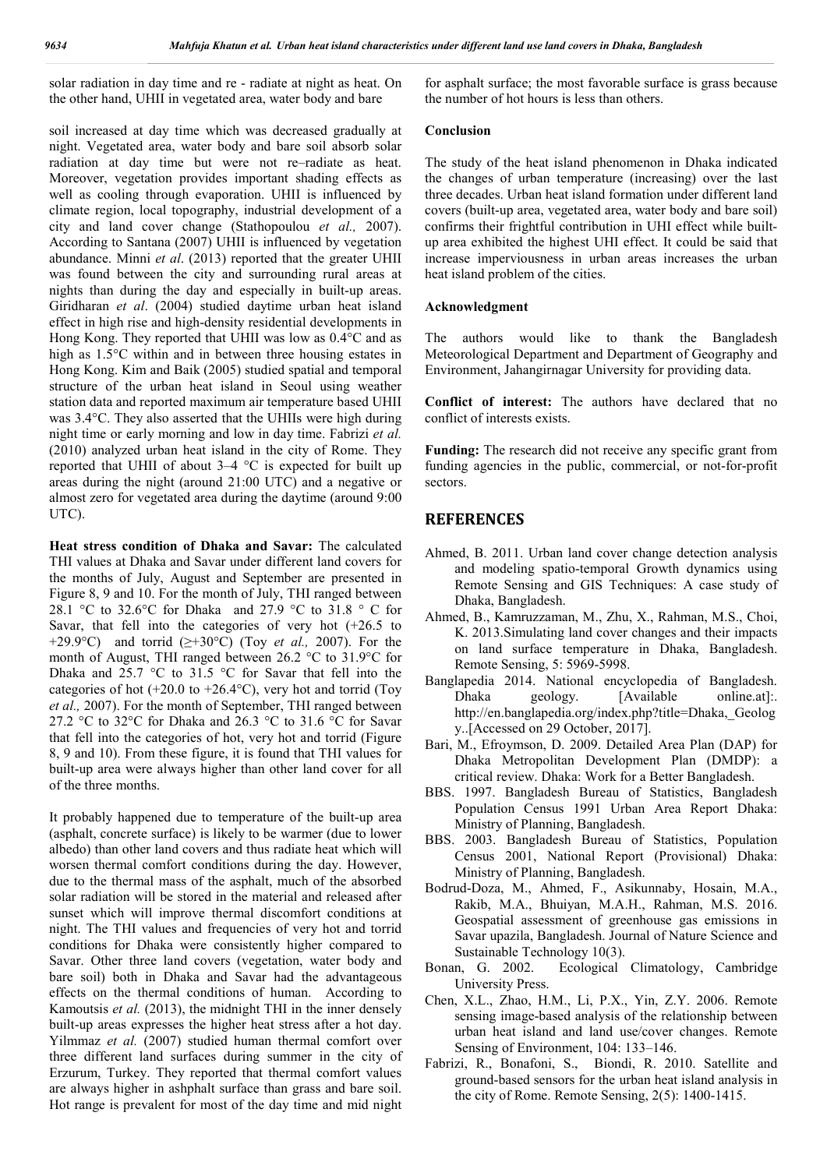solar radiation in day time and re - radiate at night as heat. On the other hand, UHII in vegetated area, water body and bare

soil increased at day time which was decreased gradually at night. Vegetated area, water body and bare soil absorb solar radiation at day time but were not re–radiate as heat. Moreover, vegetation provides important shading effects as well as cooling through evaporation. UHII is influenced by climate region, local topography, industrial development of a city and land cover change (Stathopoulou *et al.,* 2007). According to Santana (2007) UHII is influenced by vegetation abundance. Minni *et al*. (2013) reported that the greater UHII was found between the city and surrounding rural areas at nights than during the day and especially in built-up areas. Giridharan *et al*. (2004) studied daytime urban heat island effect in high rise and high-density residential developments in Hong Kong. They reported that UHII was low as 0.4°C and as high as 1.5°C within and in between three housing estates in Hong Kong. Kim and Baik (2005) studied spatial and temporal structure of the urban heat island in Seoul using weather station data and reported maximum air temperature based UHII was 3.4°C. They also asserted that the UHIIs were high during night time or early morning and low in day time. Fabrizi *et al.* (2010) analyzed urban heat island in the city of Rome. They reported that UHII of about 3–4 °C is expected for built up areas during the night (around 21:00 UTC) and a negative or almost zero for vegetated area during the daytime (around 9:00 UTC).

**Heat stress condition of Dhaka and Savar:** The calculated THI values at Dhaka and Savar under different land covers for the months of July, August and September are presented in Figure 8, 9 and 10. For the month of July, THI ranged between 28.1 °C to 32.6°C for Dhaka and 27.9 °C to 31.8 ° C for Savar, that fell into the categories of very hot (+26.5 to +29.9°C) and torrid (≥+30°C) (Toy *et al.,* 2007). For the month of August, THI ranged between 26.2 °C to 31.9°C for Dhaka and 25.7 °C to 31.5 °C for Savar that fell into the categories of hot  $(+20.0 \text{ to } +26.4^{\circ}\text{C})$ , very hot and torrid (Toy *et al.,* 2007). For the month of September, THI ranged between 27.2 °C to 32°C for Dhaka and 26.3 °C to 31.6 °C for Savar that fell into the categories of hot, very hot and torrid (Figure 8, 9 and 10). From these figure, it is found that THI values for built-up area were always higher than other land cover for all of the three months.

It probably happened due to temperature of the built-up area (asphalt, concrete surface) is likely to be warmer (due to lower albedo) than other land covers and thus radiate heat which will worsen thermal comfort conditions during the day. However, due to the thermal mass of the asphalt, much of the absorbed solar radiation will be stored in the material and released after sunset which will improve thermal discomfort conditions at night. The THI values and frequencies of very hot and torrid conditions for Dhaka were consistently higher compared to Savar. Other three land covers (vegetation, water body and bare soil) both in Dhaka and Savar had the advantageous effects on the thermal conditions of human. According to Kamoutsis *et al.* (2013), the midnight THI in the inner densely built-up areas expresses the higher heat stress after a hot day. Yilmmaz *et al.* (2007) studied human thermal comfort over three different land surfaces during summer in the city of Erzurum, Turkey. They reported that thermal comfort values are always higher in ashphalt surface than grass and bare soil. Hot range is prevalent for most of the day time and mid night for asphalt surface; the most favorable surface is grass because the number of hot hours is less than others.

#### **Conclusion**

The study of the heat island phenomenon in Dhaka indicated the changes of urban temperature (increasing) over the last three decades. Urban heat island formation under different land covers (built-up area, vegetated area, water body and bare soil) confirms their frightful contribution in UHI effect while builtup area exhibited the highest UHI effect. It could be said that increase imperviousness in urban areas increases the urban heat island problem of the cities.

#### **Acknowledgment**

The authors would like to thank the Bangladesh Meteorological Department and Department of Geography and Environment, Jahangirnagar University for providing data.

**Conflict of interest:** The authors have declared that no conflict of interests exists.

**Funding:** The research did not receive any specific grant from funding agencies in the public, commercial, or not-for-profit sectors.

### **REFERENCES**

- Ahmed, B. 2011. Urban land cover change detection analysis and modeling spatio-temporal Growth dynamics using Remote Sensing and GIS Techniques: A case study of Dhaka, Bangladesh.
- Ahmed, B., Kamruzzaman, M., Zhu, X., Rahman, M.S., Choi, K. 2013.Simulating land cover changes and their impacts on land surface temperature in Dhaka, Bangladesh. Remote Sensing, 5: 5969-5998.
- Banglapedia 2014. National encyclopedia of Bangladesh. Dhaka geology. [Available online.at]: http://en.banglapedia.org/index.php?title=Dhaka,\_Geolog y..[Accessed on 29 October, 2017].
- Bari, M., Efroymson, D. 2009. Detailed Area Plan (DAP) for Dhaka Metropolitan Development Plan (DMDP): a critical review. Dhaka: Work for a Better Bangladesh.
- BBS. 1997. Bangladesh Bureau of Statistics, Bangladesh Population Census 1991 Urban Area Report Dhaka: Ministry of Planning, Bangladesh.
- BBS. 2003. Bangladesh Bureau of Statistics, Population Census 2001, National Report (Provisional) Dhaka: Ministry of Planning, Bangladesh.
- Bodrud-Doza, M., Ahmed, F., Asikunnaby, Hosain, M.A., Rakib, M.A., Bhuiyan, M.A.H., Rahman, M.S. 2016. Geospatial assessment of greenhouse gas emissions in Savar upazila, Bangladesh. Journal of Nature Science and Sustainable Technology 10(3).<br>Bonan, G. 2002. Ecological
- Ecological Climatology, Cambridge University Press.
- Chen, X.L., Zhao, H.M., Li, P.X., Yin, Z.Y. 2006. Remote sensing image-based analysis of the relationship between urban heat island and land use/cover changes. Remote Sensing of Environment, 104: 133–146.
- Fabrizi, R., Bonafoni, S., Biondi, R. 2010. Satellite and ground-based sensors for the urban heat island analysis in the city of Rome. Remote Sensing, 2(5): 1400-1415.